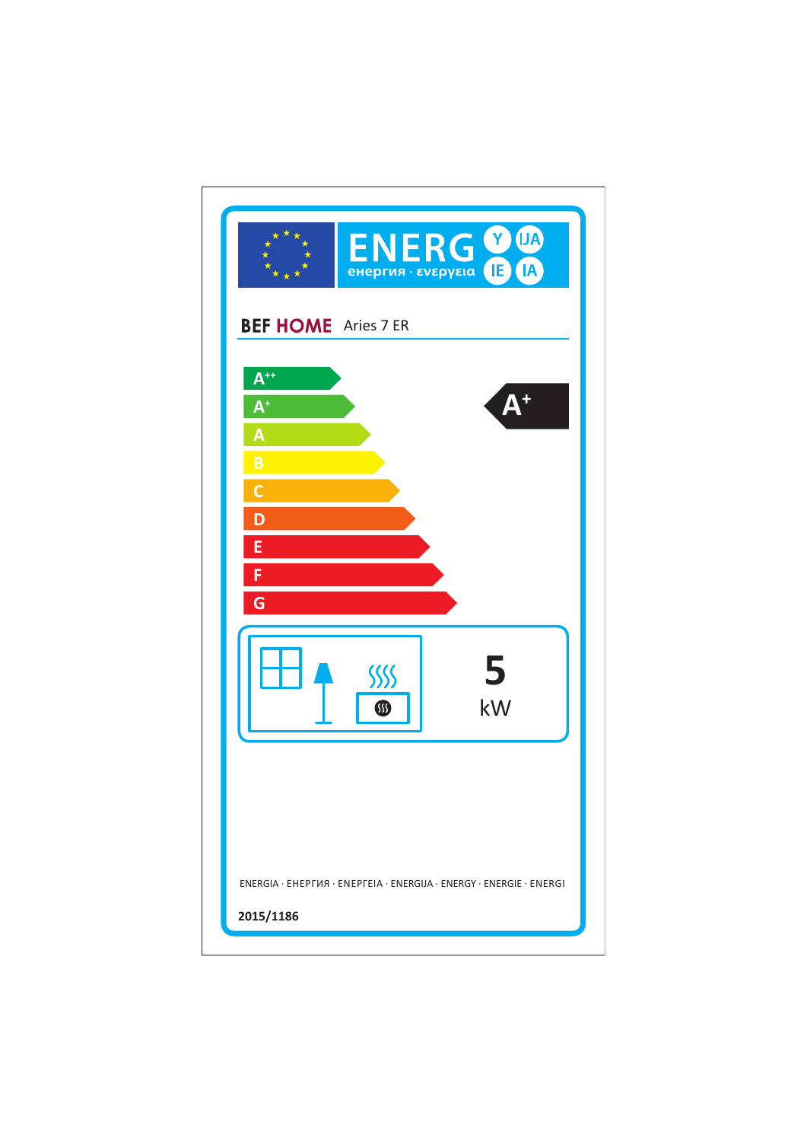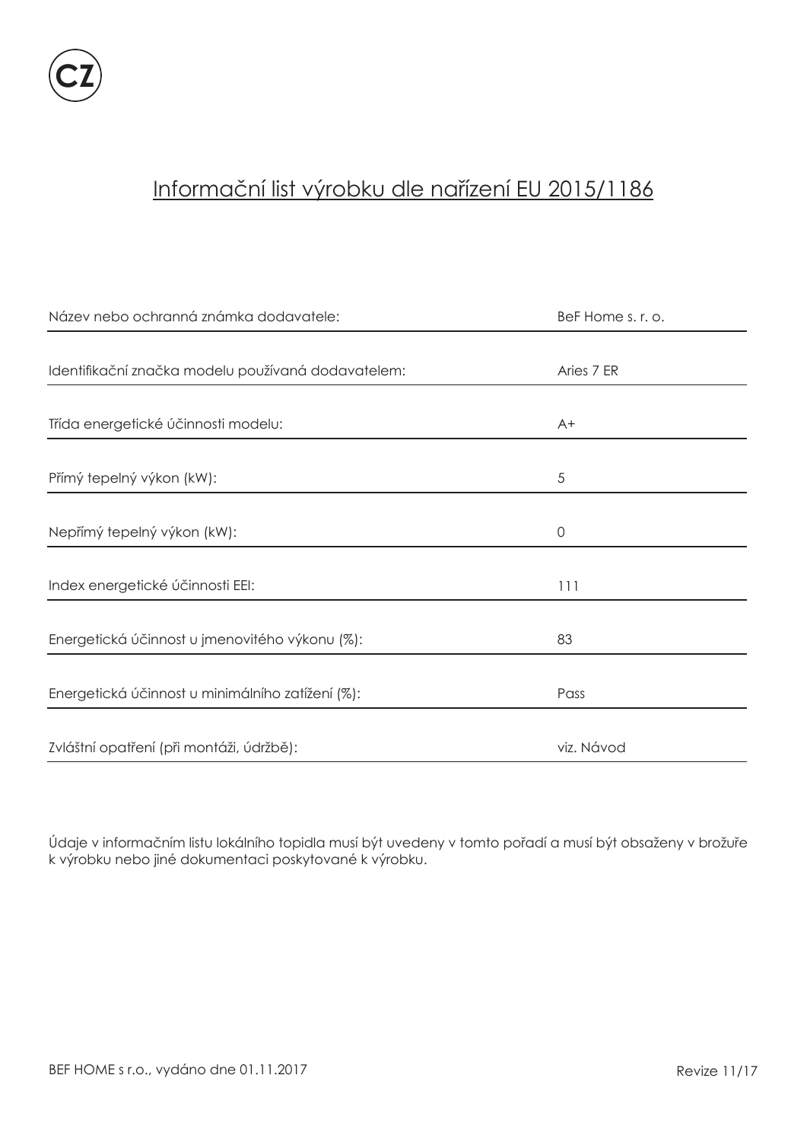

# Informační list výrobku dle nařízení EU 2015/1186

| Název nebo ochranná známka dodavatele:             | BeF Home s. r. o. |
|----------------------------------------------------|-------------------|
|                                                    |                   |
| Identifikační značka modelu používaná dodavatelem: | Aries 7 ER        |
|                                                    |                   |
| Třída energetické účinnosti modelu:                | $A+$              |
|                                                    |                   |
| Přímý tepelný výkon (kW):                          | 5                 |
|                                                    |                   |
| Nepřímý tepelný výkon (kW):                        | $\circ$           |
|                                                    |                   |
| Index energetické účinnosti EEI:                   | 111               |
|                                                    |                   |
| Energetická účinnost u jmenovitého výkonu (%):     | 83                |
|                                                    |                   |
| Energetická účinnost u minimálního zatížení (%):   | Pass              |
|                                                    |                   |
| Zvláštní opatření (při montáži, údržbě):           | viz. Návod        |

Údaje v informačním listu lokálního topidla musí být uvedeny v tomto pořadí a musí být obsaženy v brožuře k výrobku nebo jiné dokumentaci poskytované k výrobku.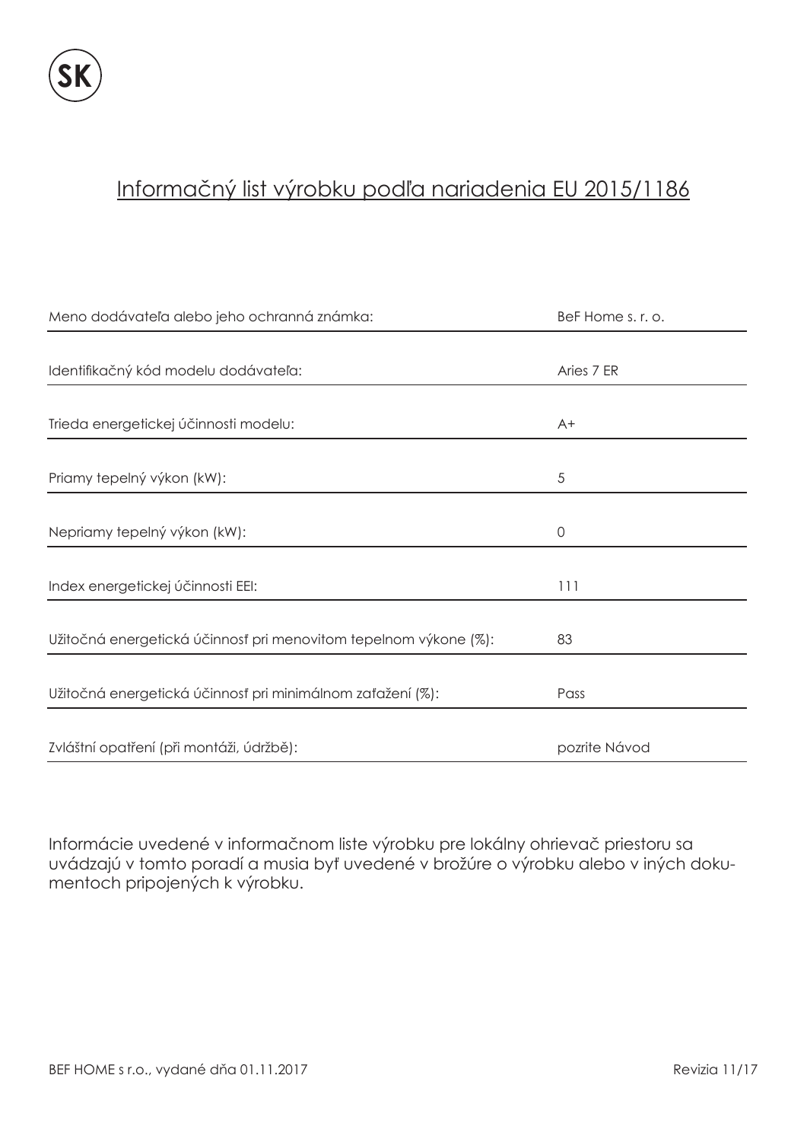### Informačný list výrobku podľa nariadenia EU 2015/1186

| Meno dodávateľa alebo jeho ochranná známka:                      | BeF Home s. r. o. |
|------------------------------------------------------------------|-------------------|
|                                                                  |                   |
| Identifikačný kód modelu dodávateľa:                             | Aries 7 ER        |
|                                                                  |                   |
| Trieda energetickej účinnosti modelu:                            | $A+$              |
|                                                                  |                   |
| Priamy tepelný výkon (kW):                                       | 5                 |
|                                                                  |                   |
| Nepriamy tepelný výkon (kW):                                     | $\mathbf 0$       |
|                                                                  |                   |
| Index energetickej účinnosti EEI:                                | 111               |
|                                                                  |                   |
| Užitočná energetická účinnosť pri menovitom tepelnom výkone (%): | 83                |
|                                                                  |                   |
| Užitočná energetická účinnosť pri minimálnom zaťažení (%):       | Pass              |
|                                                                  |                   |
| Zvláštní opatření (při montáži, údržbě):                         | pozrite Návod     |

Informácie uvedené v informačnom liste výrobku pre lokálny ohrievač priestoru sa uvádzajú v tomto poradí a musia byť uvedené v brožúre o výrobku alebo v iných dokumentoch pripojených k výrobku.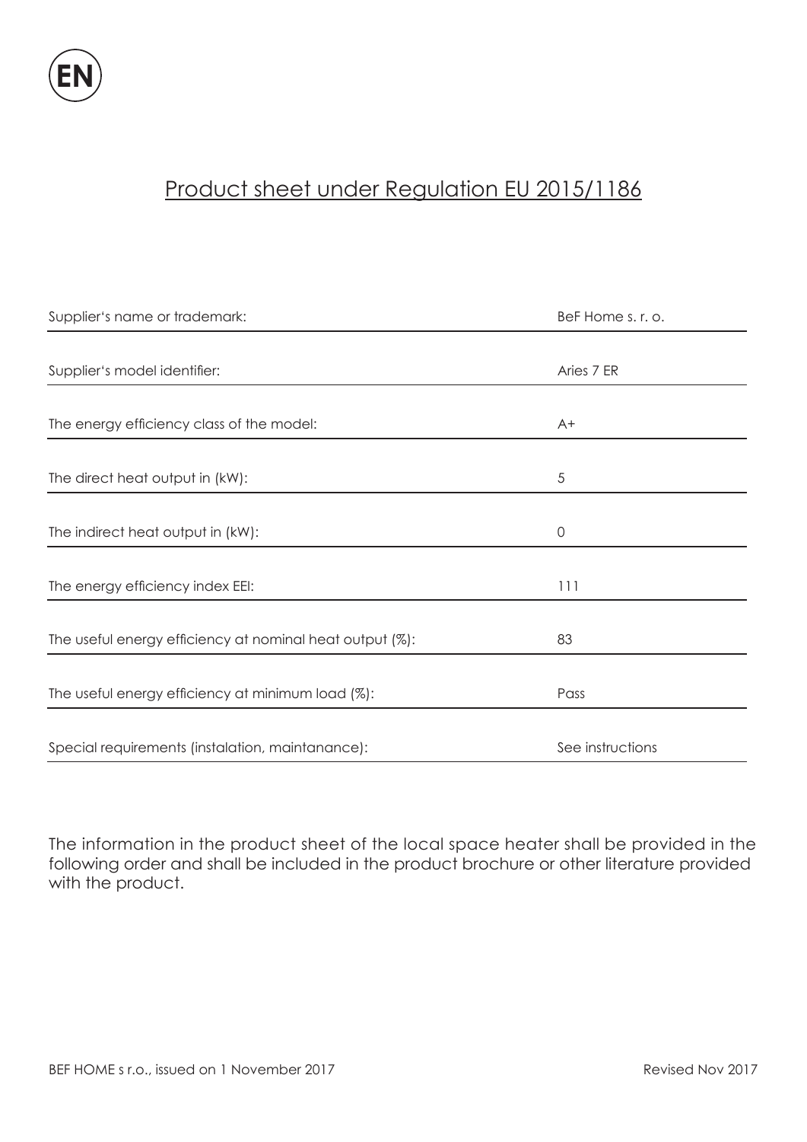

# Product sheet under Regulation EU 2015/1186

| Supplier's name or trademark:                            | BeF Home s. r. o. |
|----------------------------------------------------------|-------------------|
|                                                          |                   |
| Supplier's model identifier:                             | Aries 7 ER        |
|                                                          |                   |
| The energy efficiency class of the model:                | $A+$              |
|                                                          |                   |
| The direct heat output in (kW):                          | 5                 |
|                                                          |                   |
| The indirect heat output in (kW):                        | $\mathbf 0$       |
|                                                          |                   |
| The energy efficiency index EEI:                         | 111               |
|                                                          |                   |
| The useful energy efficiency at nominal heat output (%): | 83                |
|                                                          |                   |
| The useful energy efficiency at minimum load (%):        | Pass              |
|                                                          |                   |
| Special requirements (instalation, maintanance):         | See instructions  |

The information in the product sheet of the local space heater shall be provided in the following order and shall be included in the product brochure or other literature provided with the product.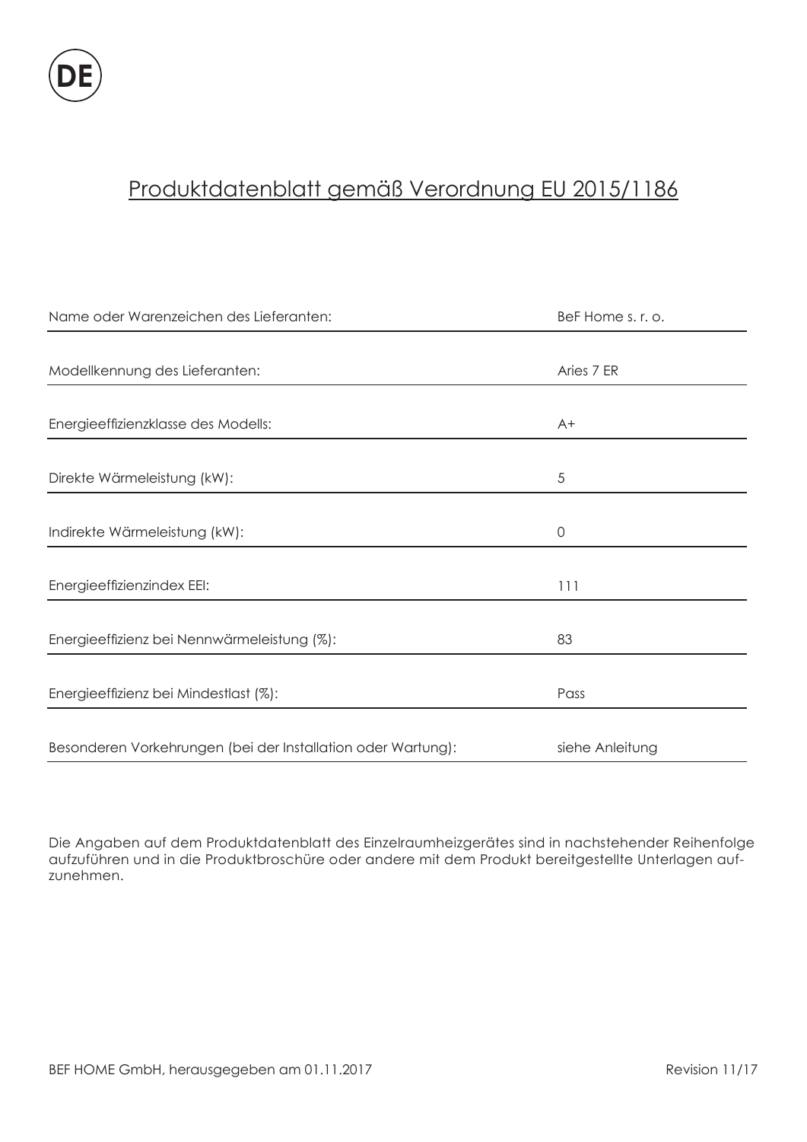# Produktdatenblatt gemäß Verordnung EU 2015/1186

| Name oder Warenzeichen des Lieferanten:                      | BeF Home s. r. o. |
|--------------------------------------------------------------|-------------------|
|                                                              |                   |
| Modellkennung des Lieferanten:                               | Aries 7 ER        |
|                                                              |                   |
| Energieeffizienzklasse des Modells:                          | $A+$              |
|                                                              |                   |
| Direkte Wärmeleistung (kW):                                  | 5                 |
|                                                              |                   |
| Indirekte Wärmeleistung (kW):                                | $\mathbf 0$       |
|                                                              |                   |
| Energieeffizienzindex EEI:                                   | 111               |
|                                                              |                   |
| Energieeffizienz bei Nennwärmeleistung (%):                  | 83                |
|                                                              |                   |
| Energieeffizienz bei Mindestlast (%):                        | Pass              |
|                                                              |                   |
| Besonderen Vorkehrungen (bei der Installation oder Wartung): | siehe Anleitung   |

Die Angaben auf dem Produktdatenblatt des Einzelraumheizgerätes sind in nachstehender Reihenfolge aufzuführen und in die Produktbroschüre oder andere mit dem Produkt bereitgestellte Unterlagen aufzunehmen.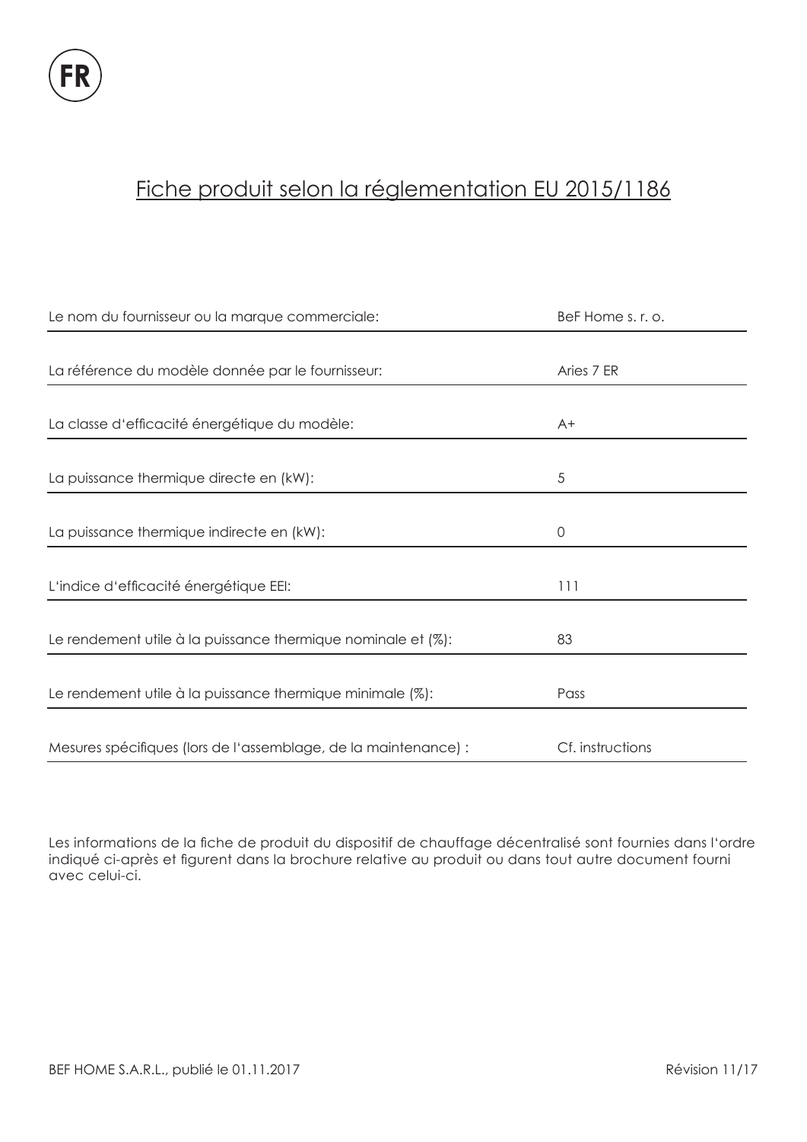# Fiche produit selon la réglementation EU 2015/1186

| Le nom du fournisseur ou la marque commerciale:                 | BeF Home s. r. o. |
|-----------------------------------------------------------------|-------------------|
|                                                                 |                   |
| La référence du modèle donnée par le fournisseur:               | Aries 7 ER        |
|                                                                 |                   |
| La classe d'efficacité énergétique du modèle:                   | $A+$              |
|                                                                 |                   |
| La puissance thermique directe en (kW):                         | 5                 |
|                                                                 |                   |
| La puissance thermique indirecte en (kW):                       | 0                 |
|                                                                 |                   |
| L'indice d'efficacité énergétique EEI:                          | 111               |
|                                                                 |                   |
| Le rendement utile à la puissance thermique nominale et (%):    | 83                |
|                                                                 |                   |
| Le rendement utile à la puissance thermique minimale (%):       | Pass              |
|                                                                 |                   |
| Mesures spécifiques (lors de l'assemblage, de la maintenance) : | Cf. instructions  |

Les informations de la fiche de produit du dispositif de chauffage décentralisé sont fournies dans l'ordre indiqué ci-après et figurent dans la brochure relative au produit ou dans tout autre document fourni avec celui-ci.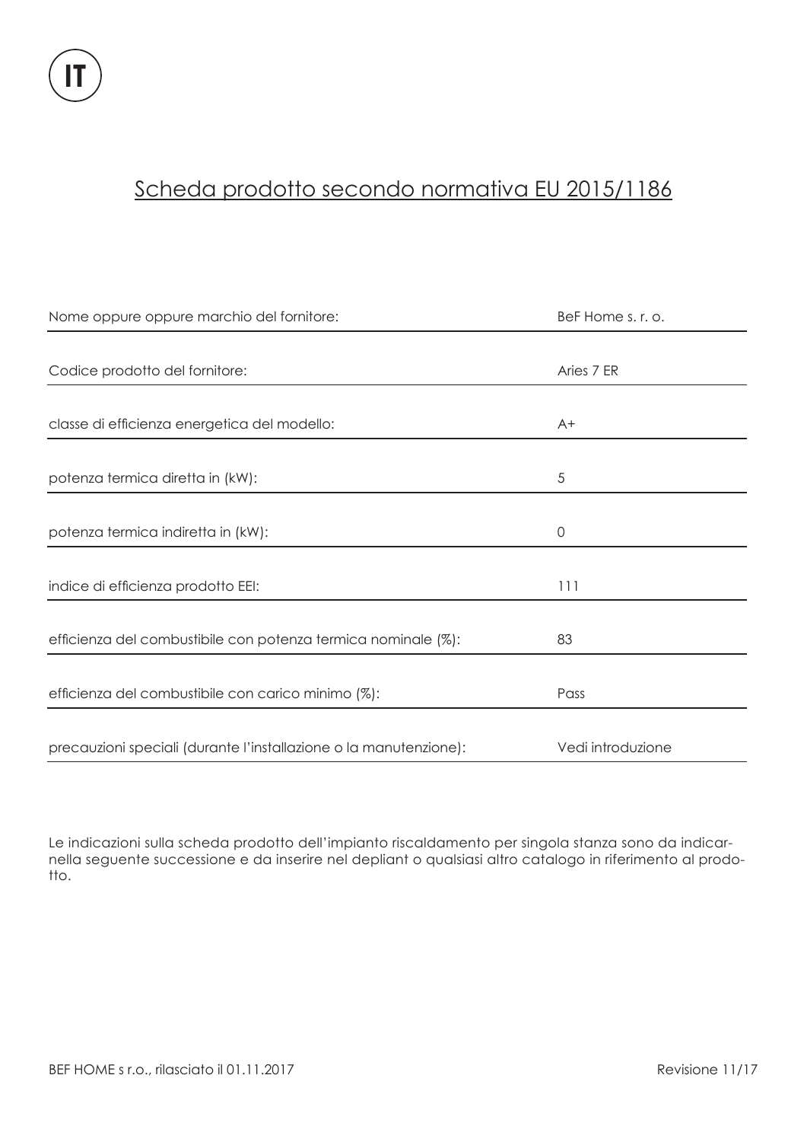### Scheda prodotto secondo normativa EU 2015/1186

| Nome oppure oppure marchio del fornitore:                         | BeF Home s. r. o. |
|-------------------------------------------------------------------|-------------------|
|                                                                   |                   |
| Codice prodotto del fornitore:                                    | Aries 7 ER        |
|                                                                   |                   |
| classe di efficienza energetica del modello:                      | $A+$              |
|                                                                   |                   |
| potenza termica diretta in (kW):                                  | 5                 |
|                                                                   |                   |
| potenza termica indiretta in (kW):                                | $\mathbf 0$       |
|                                                                   |                   |
| indice di efficienza prodotto EEI:                                | 111               |
|                                                                   |                   |
| efficienza del combustibile con potenza termica nominale (%):     | 83                |
|                                                                   |                   |
| efficienza del combustibile con carico minimo (%):                | Pass              |
|                                                                   |                   |
| precauzioni speciali (durante l'installazione o la manutenzione): | Vedi introduzione |

Le indicazioni sulla scheda prodotto dell'impianto riscaldamento per singola stanza sono da indicarnella seguente successione e da inserire nel depliant o qualsiasi altro catalogo in riferimento al prodotto.